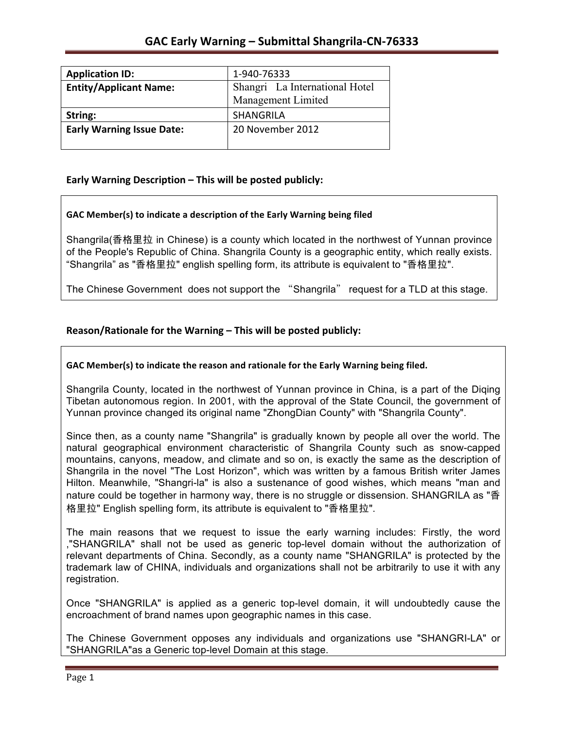| <b>Application ID:</b>           | 1-940-76333                                          |
|----------------------------------|------------------------------------------------------|
| <b>Entity/Applicant Name:</b>    | Shangri La International Hotel<br>Management Limited |
| String:                          | <b>SHANGRILA</b>                                     |
| <b>Early Warning Issue Date:</b> | 20 November 2012                                     |

## **Early Warning Description – This will be posted publicly:**

### GAC Member(s) to indicate a description of the Early Warning being filed

Shangrila(香格里拉 in Chinese) is a county which located in the northwest of Yunnan province of the People's Republic of China. Shangrila County is a geographic entity, which really exists. "Shangrila" as "香格里拉" english spelling form, its attribute is equivalent to "香格里拉".

The Chinese Government does not support the "Shangrila" request for a TLD at this stage.

### Reason/Rationale for the Warning – This will be posted publicly:

#### GAC Member(s) to indicate the reason and rationale for the Early Warning being filed.

Shangrila County, located in the northwest of Yunnan province in China, is a part of the Diqing Tibetan autonomous region. In 2001, with the approval of the State Council, the government of Yunnan province changed its original name "ZhongDian County" with "Shangrila County".

Since then, as a county name "Shangrila" is gradually known by people all over the world. The natural geographical environment characteristic of Shangrila County such as snow-capped mountains, canyons, meadow, and climate and so on, is exactly the same as the description of Shangrila in the novel "The Lost Horizon", which was written by a famous British writer James Hilton. Meanwhile, "Shangri-la" is also a sustenance of good wishes, which means "man and nature could be together in harmony way, there is no struggle or dissension. SHANGRILA as "香 格里拉" English spelling form, its attribute is equivalent to "香格里拉".

The main reasons that we request to issue the early warning includes: Firstly, the word ,"SHANGRILA" shall not be used as generic top-level domain without the authorization of relevant departments of China. Secondly, as a county name "SHANGRILA" is protected by the trademark law of CHINA, individuals and organizations shall not be arbitrarily to use it with any registration.

Once "SHANGRILA" is applied as a generic top-level domain, it will undoubtedly cause the encroachment of brand names upon geographic names in this case.

The Chinese Government opposes any individuals and organizations use "SHANGRI-LA" or "SHANGRILA"as a Generic top-level Domain at this stage.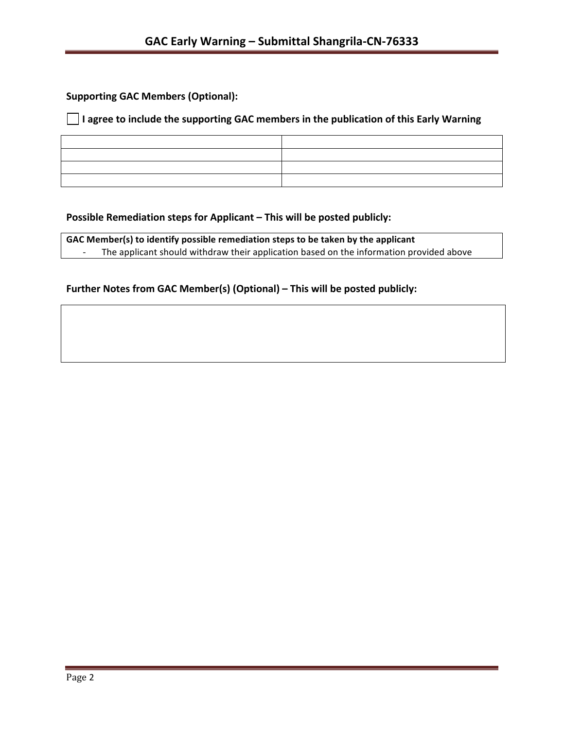**Supporting GAC Members (Optional):** 

## □ I agree to include the supporting GAC members in the publication of this Early Warning

### **Possible Remediation steps for Applicant – This will be posted publicly:**

| GAC Member(s) to identify possible remediation steps to be taken by the applicant                                   |  |  |
|---------------------------------------------------------------------------------------------------------------------|--|--|
| The applicant should withdraw their application based on the information provided above<br>$\overline{\phantom{0}}$ |  |  |

## Further Notes from GAC Member(s) (Optional) – This will be posted publicly: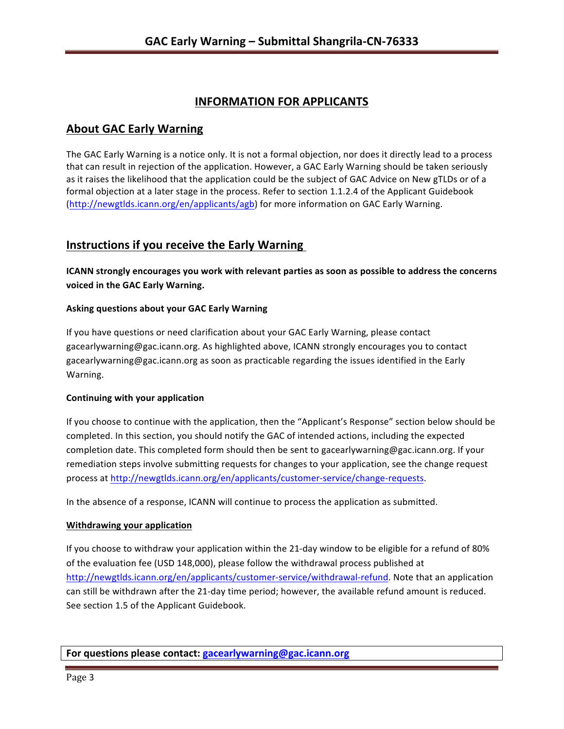## **INFORMATION FOR APPLICANTS**

## **About GAC Early Warning**

The GAC Early Warning is a notice only. It is not a formal objection, nor does it directly lead to a process that can result in rejection of the application. However, a GAC Early Warning should be taken seriously as it raises the likelihood that the application could be the subject of GAC Advice on New gTLDs or of a formal objection at a later stage in the process. Refer to section 1.1.2.4 of the Applicant Guidebook (http://newgtlds.icann.org/en/applicants/agb) for more information on GAC Early Warning.

# **Instructions if you receive the Early Warning**

**ICANN** strongly encourages you work with relevant parties as soon as possible to address the concerns **voiced in the GAC Early Warning.** 

### **Asking questions about your GAC Early Warning**

If you have questions or need clarification about your GAC Early Warning, please contact gacearlywarning@gac.icann.org. As highlighted above, ICANN strongly encourages you to contact gacearlywarning@gac.icann.org as soon as practicable regarding the issues identified in the Early Warning. 

### **Continuing with your application**

If you choose to continue with the application, then the "Applicant's Response" section below should be completed. In this section, you should notify the GAC of intended actions, including the expected completion date. This completed form should then be sent to gacearlywarning@gac.icann.org. If your remediation steps involve submitting requests for changes to your application, see the change request process at http://newgtlds.icann.org/en/applicants/customer-service/change-requests.

In the absence of a response, ICANN will continue to process the application as submitted.

### **Withdrawing your application**

If you choose to withdraw your application within the 21-day window to be eligible for a refund of 80% of the evaluation fee (USD 148,000), please follow the withdrawal process published at http://newgtlds.icann.org/en/applicants/customer-service/withdrawal-refund. Note that an application can still be withdrawn after the 21-day time period; however, the available refund amount is reduced. See section 1.5 of the Applicant Guidebook.

**For questions please contact: gacearlywarning@gac.icann.org**